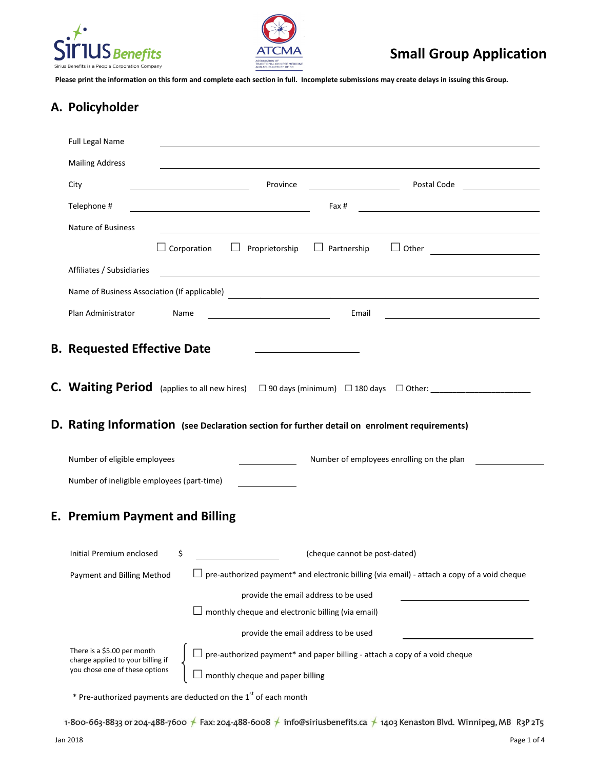



# **Small Group Application**

**Please print the information on this form and complete each section in full. Incomplete submissions may create delays in issuing this Group.**

#### **A. Policyholder**

|  | <b>Full Legal Name</b>                                                                             |                                              |                                                                            |                                                                                                                        |  |                               |                                                                                                                      |  |
|--|----------------------------------------------------------------------------------------------------|----------------------------------------------|----------------------------------------------------------------------------|------------------------------------------------------------------------------------------------------------------------|--|-------------------------------|----------------------------------------------------------------------------------------------------------------------|--|
|  | <b>Mailing Address</b>                                                                             |                                              |                                                                            |                                                                                                                        |  |                               |                                                                                                                      |  |
|  | City                                                                                               |                                              |                                                                            | Province                                                                                                               |  |                               | Postal Code <b>Communist Communist Communist</b>                                                                     |  |
|  | Telephone #                                                                                        |                                              |                                                                            | <u> 1989 - Johann Stoff, deutscher Stoffen und der Stoffen und der Stoffen und der Stoffen und der Stoffen und der</u> |  | Fax #                         | <u> 1980 - Johann Barn, mars eta bainar eta bainar eta baina eta baina eta baina eta baina eta baina eta baina e</u> |  |
|  | Nature of Business                                                                                 |                                              |                                                                            |                                                                                                                        |  |                               |                                                                                                                      |  |
|  |                                                                                                    |                                              |                                                                            |                                                                                                                        |  |                               | $\Box$ Corporation $\Box$ Proprietorship $\Box$ Partnership $\Box$ Other $\Box$                                      |  |
|  | Affiliates / Subsidiaries                                                                          |                                              |                                                                            |                                                                                                                        |  |                               |                                                                                                                      |  |
|  |                                                                                                    | Name of Business Association (If applicable) |                                                                            |                                                                                                                        |  |                               |                                                                                                                      |  |
|  | Plan Administrator                                                                                 | Name                                         |                                                                            |                                                                                                                        |  | Email                         |                                                                                                                      |  |
|  |                                                                                                    |                                              |                                                                            |                                                                                                                        |  |                               |                                                                                                                      |  |
|  | <b>B. Requested Effective Date</b>                                                                 |                                              |                                                                            |                                                                                                                        |  |                               |                                                                                                                      |  |
|  |                                                                                                    |                                              |                                                                            |                                                                                                                        |  |                               |                                                                                                                      |  |
|  |                                                                                                    |                                              |                                                                            |                                                                                                                        |  |                               |                                                                                                                      |  |
|  |                                                                                                    |                                              |                                                                            |                                                                                                                        |  |                               |                                                                                                                      |  |
|  | D. Rating Information (see Declaration section for further detail on enrolment requirements)       |                                              |                                                                            |                                                                                                                        |  |                               |                                                                                                                      |  |
|  | Number of eligible employees<br>Number of employees enrolling on the plan                          |                                              |                                                                            |                                                                                                                        |  |                               |                                                                                                                      |  |
|  | Number of ineligible employees (part-time)                                                         |                                              |                                                                            |                                                                                                                        |  |                               |                                                                                                                      |  |
|  |                                                                                                    |                                              |                                                                            |                                                                                                                        |  |                               |                                                                                                                      |  |
|  | <b>E. Premium Payment and Billing</b>                                                              |                                              |                                                                            |                                                                                                                        |  |                               |                                                                                                                      |  |
|  | Initial Premium enclosed                                                                           | \$                                           |                                                                            |                                                                                                                        |  | (cheque cannot be post-dated) |                                                                                                                      |  |
|  | Payment and Billing Method                                                                         |                                              |                                                                            |                                                                                                                        |  |                               | pre-authorized payment* and electronic billing (via email) - attach a copy of a void cheque                          |  |
|  | provide the email address to be used                                                               |                                              |                                                                            |                                                                                                                        |  |                               |                                                                                                                      |  |
|  | $\perp$ monthly cheque and electronic billing (via email)                                          |                                              |                                                                            |                                                                                                                        |  |                               |                                                                                                                      |  |
|  | provide the email address to be used                                                               |                                              |                                                                            |                                                                                                                        |  |                               |                                                                                                                      |  |
|  | There is a \$5.00 per month<br>charge applied to your billing if<br>you chose one of these options |                                              | pre-authorized payment* and paper billing - attach a copy of a void cheque |                                                                                                                        |  |                               |                                                                                                                      |  |
|  |                                                                                                    |                                              |                                                                            | monthly cheque and paper billing                                                                                       |  |                               |                                                                                                                      |  |
|  |                                                                                                    |                                              |                                                                            |                                                                                                                        |  |                               |                                                                                                                      |  |

 $*$  Pre-authorized payments are deducted on the  $1<sup>st</sup>$  of each month

1-800-663-8833 or 204-488-7600 ★ Fax: 204-488-6008 ★ info@siriusbenefits.ca ★ 1403 Kenaston Blvd. Winnipeg, MB R3P 2T5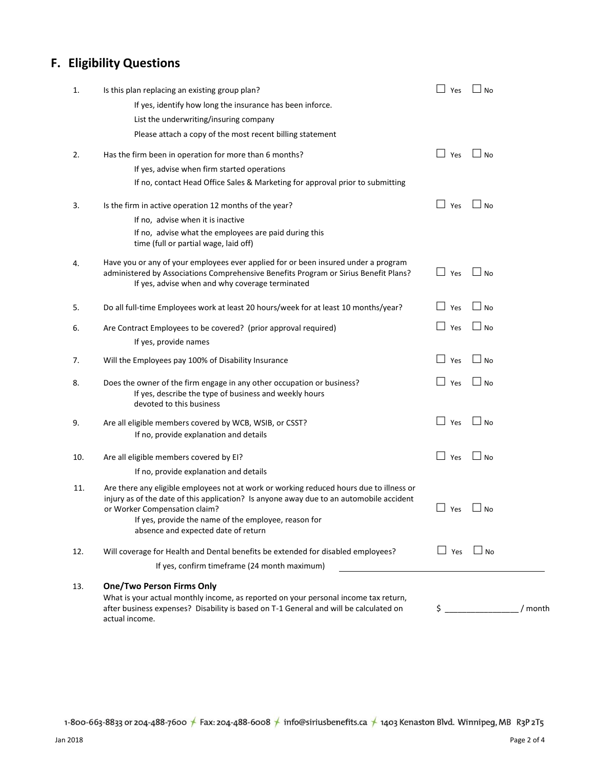# **F. Eligibility Questions**

| 1.  | Is this plan replacing an existing group plan?                                                                                                                                                                                                                                                                     | Yes                 | <b>No</b>    |         |
|-----|--------------------------------------------------------------------------------------------------------------------------------------------------------------------------------------------------------------------------------------------------------------------------------------------------------------------|---------------------|--------------|---------|
|     | If yes, identify how long the insurance has been inforce.                                                                                                                                                                                                                                                          |                     |              |         |
|     | List the underwriting/insuring company                                                                                                                                                                                                                                                                             |                     |              |         |
|     | Please attach a copy of the most recent billing statement                                                                                                                                                                                                                                                          |                     |              |         |
| 2.  | Has the firm been in operation for more than 6 months?                                                                                                                                                                                                                                                             | $\Box$ Yes          | $\Box$ No    |         |
|     | If yes, advise when firm started operations                                                                                                                                                                                                                                                                        |                     |              |         |
|     | If no, contact Head Office Sales & Marketing for approval prior to submitting                                                                                                                                                                                                                                      |                     |              |         |
| 3.  | Is the firm in active operation 12 months of the year?                                                                                                                                                                                                                                                             | $\Box$ Yes          | ∐ No         |         |
|     | If no, advise when it is inactive                                                                                                                                                                                                                                                                                  |                     |              |         |
|     | If no, advise what the employees are paid during this<br>time (full or partial wage, laid off)                                                                                                                                                                                                                     |                     |              |         |
| 4.  | Have you or any of your employees ever applied for or been insured under a program<br>administered by Associations Comprehensive Benefits Program or Sirius Benefit Plans?<br>If yes, advise when and why coverage terminated                                                                                      | $\Box$ Yes          | $\Box$ No    |         |
| 5.  | Do all full-time Employees work at least 20 hours/week for at least 10 months/year?                                                                                                                                                                                                                                | $\Box$ Yes          | ∣ ⊥ No       |         |
| 6.  | Are Contract Employees to be covered? (prior approval required)                                                                                                                                                                                                                                                    | $\mathsf{L}$<br>Yes | $\square$ No |         |
|     | If yes, provide names                                                                                                                                                                                                                                                                                              |                     |              |         |
| 7.  | Will the Employees pay 100% of Disability Insurance                                                                                                                                                                                                                                                                | Yes                 | $\square$ No |         |
| 8.  | Does the owner of the firm engage in any other occupation or business?<br>If yes, describe the type of business and weekly hours<br>devoted to this business                                                                                                                                                       | $\Box$<br>Yes       | ⊿ No         |         |
| 9.  | Are all eligible members covered by WCB, WSIB, or CSST?<br>If no, provide explanation and details                                                                                                                                                                                                                  | $\Box$ Yes          | $\Box$ No    |         |
| 10. | Are all eligible members covered by EI?                                                                                                                                                                                                                                                                            | Yes                 | $\Box$ No    |         |
|     | If no, provide explanation and details                                                                                                                                                                                                                                                                             |                     |              |         |
| 11. | Are there any eligible employees not at work or working reduced hours due to illness or<br>injury as of the date of this application? Is anyone away due to an automobile accident<br>or Worker Compensation claim?<br>If yes, provide the name of the employee, reason for<br>absence and expected date of return | Yes                 | $\Box$ No    |         |
| 12. | Will coverage for Health and Dental benefits be extended for disabled employees?                                                                                                                                                                                                                                   | $\Box$ Yes          | $\Box$ No    |         |
|     | If yes, confirm timeframe (24 month maximum)                                                                                                                                                                                                                                                                       |                     |              |         |
| 13. | <b>One/Two Person Firms Only</b><br>What is your actual monthly income, as reported on your personal income tax return,<br>after business expenses? Disability is based on T-1 General and will be calculated on<br>actual income.                                                                                 |                     | $\sharp$     | / month |

1-800-663-8833 or 204-488-7600  $\neq$  Fax: 204-488-6008  $\neq$  info@siriusbenefits.ca  $\neq$  1403 Kenaston Blvd. Winnipeg, MB R3P 2T5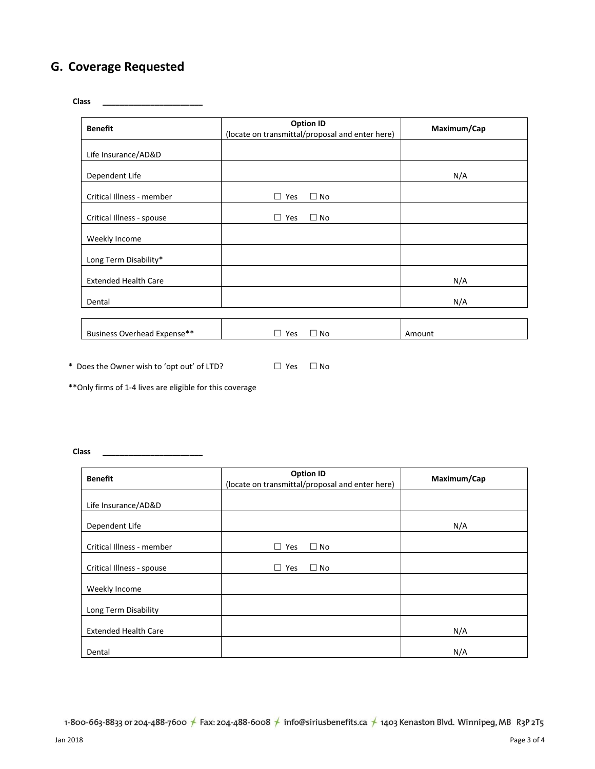# **G. Coverage Requested**

**Class \_\_\_\_\_\_\_\_\_\_\_\_\_\_\_\_\_\_\_\_\_\_\_**

| <b>Benefit</b>              | <b>Option ID</b><br>(locate on transmittal/proposal and enter here) | Maximum/Cap |  |
|-----------------------------|---------------------------------------------------------------------|-------------|--|
| Life Insurance/AD&D         |                                                                     |             |  |
| Dependent Life              |                                                                     | N/A         |  |
| Critical Illness - member   | Yes<br>$\square$ No<br>□.                                           |             |  |
| Critical Illness - spouse   | $\Box$ No<br>Yes<br>$\Box$                                          |             |  |
| Weekly Income               |                                                                     |             |  |
| Long Term Disability*       |                                                                     |             |  |
| <b>Extended Health Care</b> |                                                                     | N/A         |  |
| Dental                      |                                                                     | N/A         |  |
|                             |                                                                     |             |  |
| Business Overhead Expense** | $\square$ No<br>Yes<br>$\perp$                                      | Amount      |  |

\* Does the Owner wish to 'opt out' of LTD?  $\Box$  Yes  $\Box$  No

\*\*Only firms of 1-4 lives are eligible for this coverage

**Class \_\_\_\_\_\_\_\_\_\_\_\_\_\_\_\_\_\_\_\_\_\_\_**

| <b>Benefit</b>              | <b>Option ID</b><br>(locate on transmittal/proposal and enter here) | Maximum/Cap |  |
|-----------------------------|---------------------------------------------------------------------|-------------|--|
| Life Insurance/AD&D         |                                                                     |             |  |
| Dependent Life              |                                                                     | N/A         |  |
| Critical Illness - member   | $\square$ No<br>Yes<br>$\Box$                                       |             |  |
| Critical Illness - spouse   | $\square$ No<br>Yes<br>$\Box$                                       |             |  |
| Weekly Income               |                                                                     |             |  |
| Long Term Disability        |                                                                     |             |  |
| <b>Extended Health Care</b> |                                                                     | N/A         |  |
| Dental                      |                                                                     | N/A         |  |

1-800-663-8833 or 204-488-7600 ★ Fax: 204-488-6008 ★ info@siriusbenefits.ca ★ 1403 Kenaston Blvd. Winnipeg, MB R3P 2T5